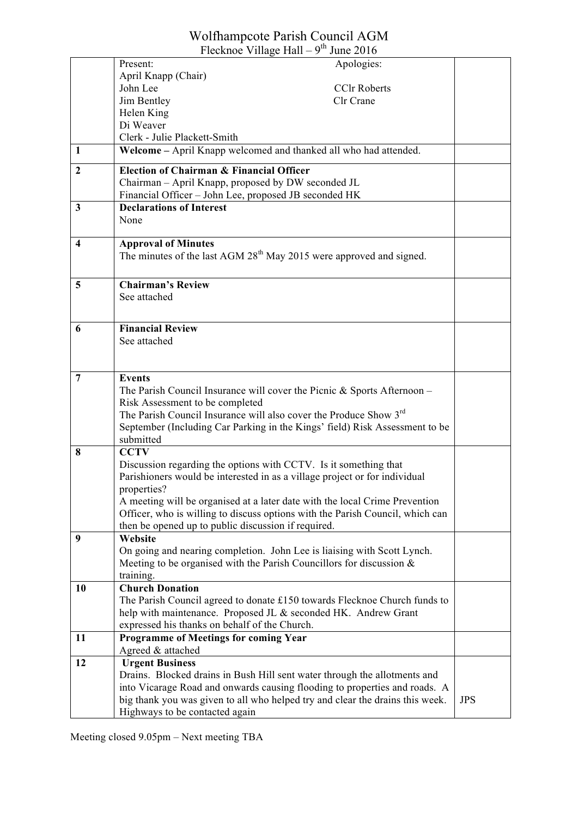### Wolfhampcote Parish Council AGM

| Flecknoe Village Hall – $9^{th}$ June 2016 |                                                                                           |            |
|--------------------------------------------|-------------------------------------------------------------------------------------------|------------|
|                                            | Present:<br>Apologies:                                                                    |            |
|                                            | April Knapp (Chair)                                                                       |            |
|                                            | John Lee<br><b>CCIr Roberts</b>                                                           |            |
|                                            | Jim Bentley<br>Clr Crane                                                                  |            |
|                                            | Helen King                                                                                |            |
|                                            | Di Weaver                                                                                 |            |
|                                            | Clerk - Julie Plackett-Smith                                                              |            |
| 1                                          | Welcome – April Knapp welcomed and thanked all who had attended.                          |            |
| $\boldsymbol{2}$                           | <b>Election of Chairman &amp; Financial Officer</b>                                       |            |
|                                            | Chairman - April Knapp, proposed by DW seconded JL                                        |            |
|                                            | Financial Officer - John Lee, proposed JB seconded HK                                     |            |
| $\mathbf{3}$                               | <b>Declarations of Interest</b>                                                           |            |
|                                            | None                                                                                      |            |
| 4                                          | <b>Approval of Minutes</b>                                                                |            |
|                                            | The minutes of the last AGM 28 <sup>th</sup> May 2015 were approved and signed.           |            |
|                                            |                                                                                           |            |
| 5                                          | <b>Chairman's Review</b>                                                                  |            |
|                                            | See attached                                                                              |            |
|                                            |                                                                                           |            |
| 6                                          | <b>Financial Review</b>                                                                   |            |
|                                            | See attached                                                                              |            |
|                                            |                                                                                           |            |
|                                            |                                                                                           |            |
| 7                                          | <b>Events</b>                                                                             |            |
|                                            | The Parish Council Insurance will cover the Picnic $&$ Sports Afternoon –                 |            |
|                                            | Risk Assessment to be completed                                                           |            |
|                                            | The Parish Council Insurance will also cover the Produce Show 3 <sup>rd</sup>             |            |
|                                            | September (Including Car Parking in the Kings' field) Risk Assessment to be               |            |
|                                            | submitted                                                                                 |            |
| 8                                          | <b>CCTV</b>                                                                               |            |
|                                            | Discussion regarding the options with CCTV. Is it something that                          |            |
|                                            | Parishioners would be interested in as a village project or for individual<br>properties? |            |
|                                            | A meeting will be organised at a later date with the local Crime Prevention               |            |
|                                            | Officer, who is willing to discuss options with the Parish Council, which can             |            |
|                                            | then be opened up to public discussion if required.                                       |            |
| 9                                          | Website                                                                                   |            |
|                                            | On going and nearing completion. John Lee is liaising with Scott Lynch.                   |            |
|                                            | Meeting to be organised with the Parish Councillors for discussion $\&$                   |            |
|                                            | training.                                                                                 |            |
| 10                                         | <b>Church Donation</b>                                                                    |            |
|                                            | The Parish Council agreed to donate £150 towards Flecknoe Church funds to                 |            |
|                                            | help with maintenance. Proposed JL & seconded HK. Andrew Grant                            |            |
|                                            | expressed his thanks on behalf of the Church.                                             |            |
| 11                                         | <b>Programme of Meetings for coming Year</b>                                              |            |
|                                            | Agreed & attached                                                                         |            |
| 12                                         | <b>Urgent Business</b>                                                                    |            |
|                                            | Drains. Blocked drains in Bush Hill sent water through the allotments and                 |            |
|                                            | into Vicarage Road and onwards causing flooding to properties and roads. A                |            |
|                                            | big thank you was given to all who helped try and clear the drains this week.             | <b>JPS</b> |
|                                            | Highways to be contacted again                                                            |            |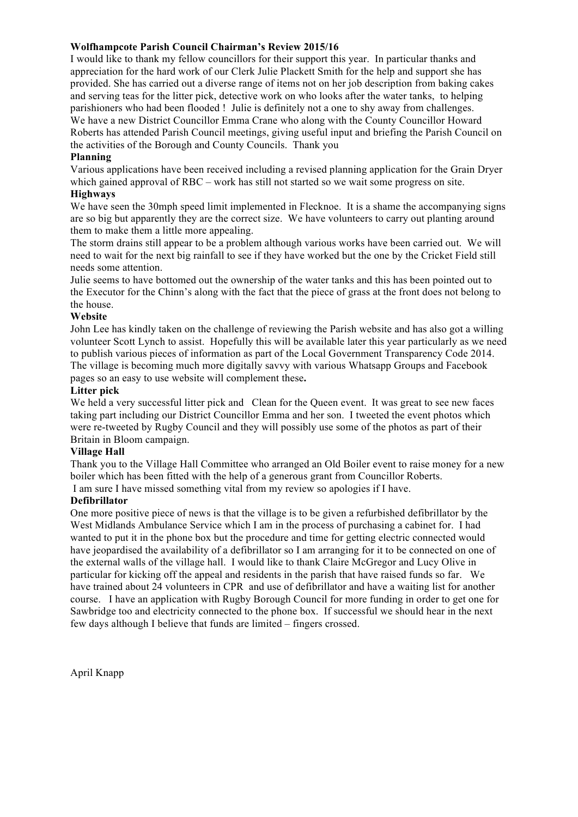#### **Wolfhampcote Parish Council Chairman's Review 2015/16**

I would like to thank my fellow councillors for their support this year. In particular thanks and appreciation for the hard work of our Clerk Julie Plackett Smith for the help and support she has provided. She has carried out a diverse range of items not on her job description from baking cakes and serving teas for the litter pick, detective work on who looks after the water tanks, to helping parishioners who had been flooded ! Julie is definitely not a one to shy away from challenges. We have a new District Councillor Emma Crane who along with the County Councillor Howard Roberts has attended Parish Council meetings, giving useful input and briefing the Parish Council on the activities of the Borough and County Councils. Thank you

#### **Planning**

Various applications have been received including a revised planning application for the Grain Dryer which gained approval of RBC – work has still not started so we wait some progress on site.

#### **Highways**

We have seen the 30mph speed limit implemented in Flecknoe. It is a shame the accompanying signs are so big but apparently they are the correct size. We have volunteers to carry out planting around them to make them a little more appealing.

The storm drains still appear to be a problem although various works have been carried out. We will need to wait for the next big rainfall to see if they have worked but the one by the Cricket Field still needs some attention.

Julie seems to have bottomed out the ownership of the water tanks and this has been pointed out to the Executor for the Chinn's along with the fact that the piece of grass at the front does not belong to the house.

#### **Website**

John Lee has kindly taken on the challenge of reviewing the Parish website and has also got a willing volunteer Scott Lynch to assist. Hopefully this will be available later this year particularly as we need to publish various pieces of information as part of the Local Government Transparency Code 2014. The village is becoming much more digitally savvy with various Whatsapp Groups and Facebook pages so an easy to use website will complement these**.**

#### **Litter pick**

We held a very successful litter pick and Clean for the Queen event. It was great to see new faces taking part including our District Councillor Emma and her son. I tweeted the event photos which were re-tweeted by Rugby Council and they will possibly use some of the photos as part of their Britain in Bloom campaign.

#### **Village Hall**

Thank you to the Village Hall Committee who arranged an Old Boiler event to raise money for a new boiler which has been fitted with the help of a generous grant from Councillor Roberts. I am sure I have missed something vital from my review so apologies if I have.

#### **Defibrillator**

One more positive piece of news is that the village is to be given a refurbished defibrillator by the West Midlands Ambulance Service which I am in the process of purchasing a cabinet for. I had wanted to put it in the phone box but the procedure and time for getting electric connected would have jeopardised the availability of a defibrillator so I am arranging for it to be connected on one of the external walls of the village hall. I would like to thank Claire McGregor and Lucy Olive in particular for kicking off the appeal and residents in the parish that have raised funds so far. We have trained about 24 volunteers in CPR and use of defibrillator and have a waiting list for another course. I have an application with Rugby Borough Council for more funding in order to get one for Sawbridge too and electricity connected to the phone box. If successful we should hear in the next few days although I believe that funds are limited – fingers crossed.

April Knapp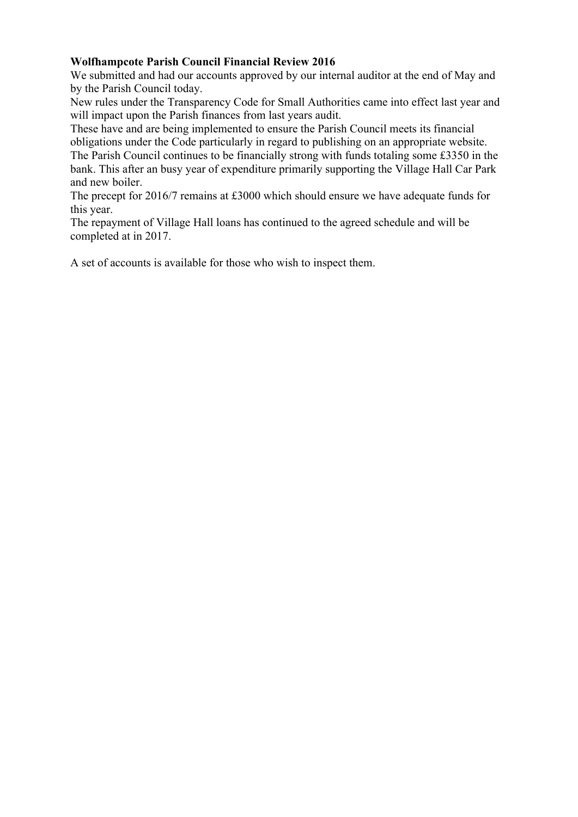#### **Wolfhampcote Parish Council Financial Review 2016**

We submitted and had our accounts approved by our internal auditor at the end of May and by the Parish Council today.

New rules under the Transparency Code for Small Authorities came into effect last year and will impact upon the Parish finances from last years audit.

These have and are being implemented to ensure the Parish Council meets its financial obligations under the Code particularly in regard to publishing on an appropriate website.

The Parish Council continues to be financially strong with funds totaling some £3350 in the bank. This after an busy year of expenditure primarily supporting the Village Hall Car Park and new boiler.

The precept for 2016/7 remains at £3000 which should ensure we have adequate funds for this year.

The repayment of Village Hall loans has continued to the agreed schedule and will be completed at in 2017.

A set of accounts is available for those who wish to inspect them.